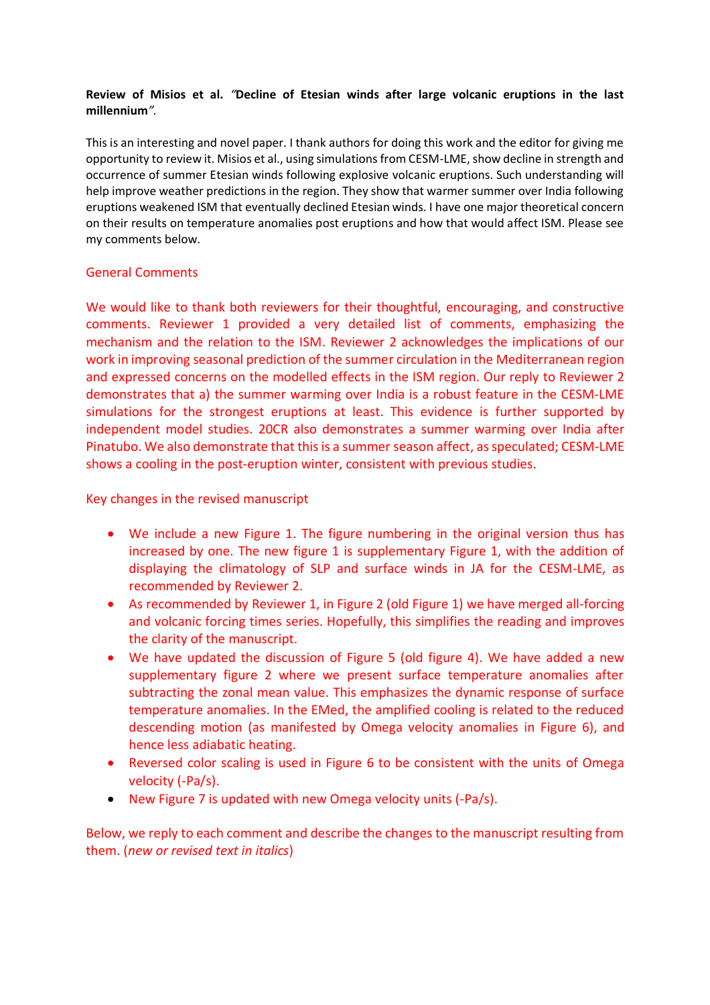### **Review of Misios et al.** *"***Decline of Etesian winds after large volcanic eruptions in the last millennium***".*

This is an interesting and novel paper. I thank authors for doing this work and the editor for giving me opportunity to review it. Misios et al., using simulations from CESM-LME, show decline in strength and occurrence of summer Etesian winds following explosive volcanic eruptions. Such understanding will help improve weather predictions in the region. They show that warmer summer over India following eruptions weakened ISM that eventually declined Etesian winds. I have one major theoretical concern on their results on temperature anomalies post eruptions and how that would affect ISM. Please see my comments below.

## General Comments

We would like to thank both reviewers for their thoughtful, encouraging, and constructive comments. Reviewer 1 provided a very detailed list of comments, emphasizing the mechanism and the relation to the ISM. Reviewer 2 acknowledges the implications of our work in improving seasonal prediction of the summer circulation in the Mediterranean region and expressed concerns on the modelled effects in the ISM region. Our reply to Reviewer 2 demonstrates that a) the summer warming over India is a robust feature in the CESM-LME simulations for the strongest eruptions at least. This evidence is further supported by independent model studies. 20CR also demonstrates a summer warming over India after Pinatubo. We also demonstrate that this is a summer season affect, as speculated; CESM-LME shows a cooling in the post-eruption winter, consistent with previous studies.

Key changes in the revised manuscript

- We include a new Figure 1. The figure numbering in the original version thus has increased by one. The new figure 1 is supplementary Figure 1, with the addition of displaying the climatology of SLP and surface winds in JA for the CESM-LME, as recommended by Reviewer 2.
- As recommended by Reviewer 1, in Figure 2 (old Figure 1) we have merged all-forcing and volcanic forcing times series. Hopefully, this simplifies the reading and improves the clarity of the manuscript.
- We have updated the discussion of Figure 5 (old figure 4). We have added a new supplementary figure 2 where we present surface temperature anomalies after subtracting the zonal mean value. This emphasizes the dynamic response of surface temperature anomalies. In the EMed, the amplified cooling is related to the reduced descending motion (as manifested by Omega velocity anomalies in Figure 6), and hence less adiabatic heating.
- Reversed color scaling is used in Figure 6 to be consistent with the units of Omega velocity (-Pa/s).
- New Figure 7 is updated with new Omega velocity units (-Pa/s).

Below, we reply to each comment and describe the changes to the manuscript resulting from them. (*new or revised text in italics*)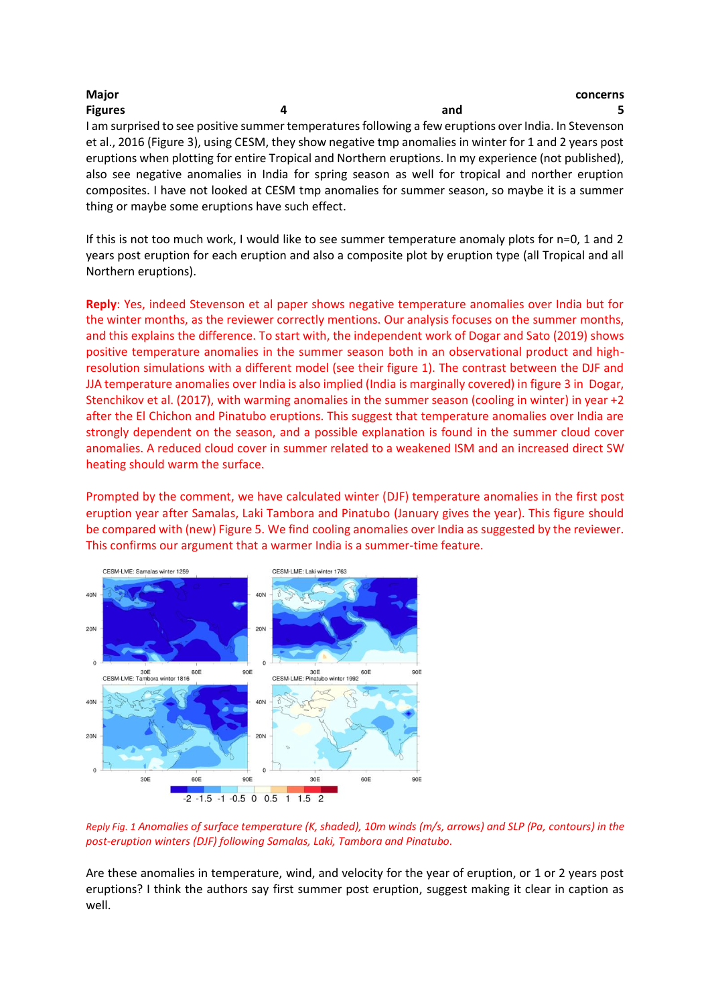| <b>Major</b>                                                                                           |   |     | concerns |
|--------------------------------------------------------------------------------------------------------|---|-----|----------|
| <b>Figures</b>                                                                                         | 4 | and |          |
| I am surprised to see positive summer temperatures following a few eruptions over India. In Stevenson  |   |     |          |
| et al., 2016 (Figure 3), using CESM, they show negative tmp anomalies in winter for 1 and 2 years post |   |     |          |
| eruptions when plotting for entire Tropical and Northern eruptions. In my experience (not published),  |   |     |          |
| also see negative anomalies in India for spring season as well for tropical and norther eruption       |   |     |          |
| composites. I have not looked at CESM tmp anomalies for summer season, so maybe it is a summer         |   |     |          |
| thing or maybe some eruptions have such effect.                                                        |   |     |          |

If this is not too much work, I would like to see summer temperature anomaly plots for n=0, 1 and 2 years post eruption for each eruption and also a composite plot by eruption type (all Tropical and all Northern eruptions).

**Reply**: Yes, indeed Stevenson et al paper shows negative temperature anomalies over India but for the winter months, as the reviewer correctly mentions. Our analysis focuses on the summer months, and this explains the difference. To start with, the independent work of Dogar and Sato (2019) shows positive temperature anomalies in the summer season both in an observational product and highresolution simulations with a different model (see their figure 1). The contrast between the DJF and JJA temperature anomalies over India is also implied (India is marginally covered) in figure 3 in Dogar, Stenchikov et al. (2017), with warming anomalies in the summer season (cooling in winter) in year +2 after the El Chichon and Pinatubo eruptions. This suggest that temperature anomalies over India are strongly dependent on the season, and a possible explanation is found in the summer cloud cover anomalies. A reduced cloud cover in summer related to a weakened ISM and an increased direct SW heating should warm the surface.

Prompted by the comment, we have calculated winter (DJF) temperature anomalies in the first post eruption year after Samalas, Laki Tambora and Pinatubo (January gives the year). This figure should be compared with (new) Figure 5. We find cooling anomalies over India as suggested by the reviewer. This confirms our argument that a warmer India is a summer-time feature.



*Reply Fig. 1 Anomalies of surface temperature (K, shaded), 10m winds (m/s, arrows) and SLP (Pa, contours) in the post-eruption winters (DJF) following Samalas, Laki, Tambora and Pinatubo.*

Are these anomalies in temperature, wind, and velocity for the year of eruption, or 1 or 2 years post eruptions? I think the authors say first summer post eruption, suggest making it clear in caption as well.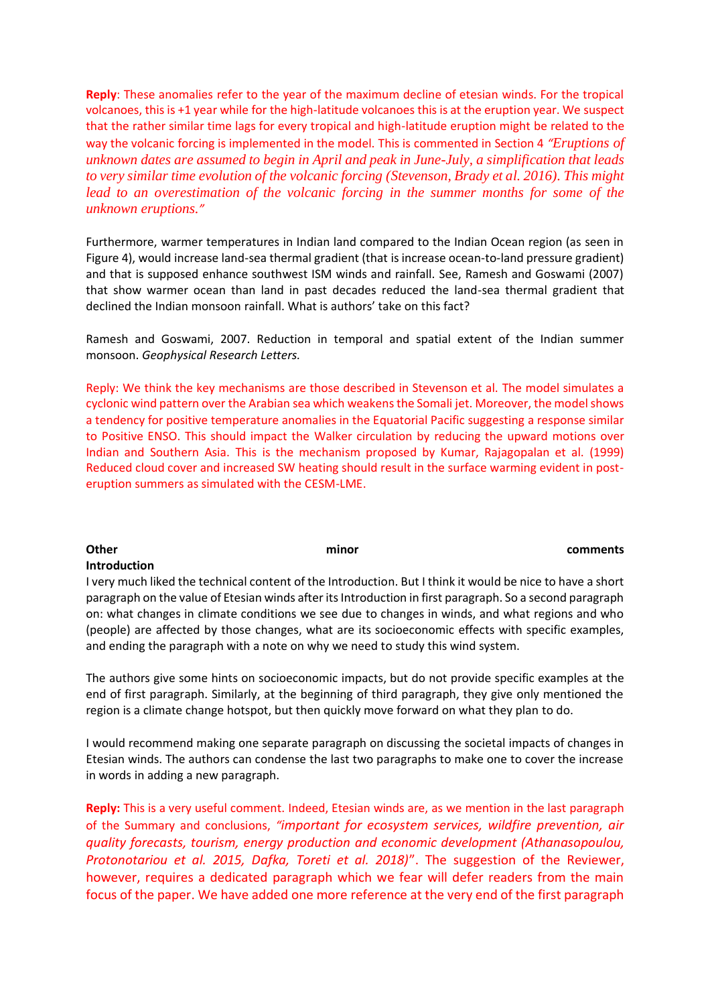**Reply**: These anomalies refer to the year of the maximum decline of etesian winds. For the tropical volcanoes, this is +1 year while for the high-latitude volcanoes this is at the eruption year. We suspect that the rather similar time lags for every tropical and high-latitude eruption might be related to the way the volcanic forcing is implemented in the model. This is commented in Section 4 *"Eruptions of unknown dates are assumed to begin in April and peak in June-July, a simplification that leads to very similar time evolution of the volcanic forcing (Stevenson, Brady et al. 2016). This might lead to an overestimation of the volcanic forcing in the summer months for some of the unknown eruptions."*

Furthermore, warmer temperatures in Indian land compared to the Indian Ocean region (as seen in Figure 4), would increase land-sea thermal gradient (that is increase ocean-to-land pressure gradient) and that is supposed enhance southwest ISM winds and rainfall. See, Ramesh and Goswami (2007) that show warmer ocean than land in past decades reduced the land-sea thermal gradient that declined the Indian monsoon rainfall. What is authors' take on this fact?

Ramesh and Goswami, 2007. Reduction in temporal and spatial extent of the Indian summer monsoon. *Geophysical Research Letters.* 

Reply: We think the key mechanisms are those described in Stevenson et al. The model simulates a cyclonic wind pattern over the Arabian sea which weakens the Somali jet. Moreover, the model shows a tendency for positive temperature anomalies in the Equatorial Pacific suggesting a response similar to Positive ENSO. This should impact the Walker circulation by reducing the upward motions over Indian and Southern Asia. This is the mechanism proposed by Kumar, Rajagopalan et al. (1999) Reduced cloud cover and increased SW heating should result in the surface warming evident in posteruption summers as simulated with the CESM-LME.

# **Other comments** and comments are comments and comments **Introduction** I very much liked the technical content of the Introduction. But I think it would be nice to have a short

paragraph on the value of Etesian winds after its Introduction in first paragraph. So a second paragraph on: what changes in climate conditions we see due to changes in winds, and what regions and who (people) are affected by those changes, what are its socioeconomic effects with specific examples, and ending the paragraph with a note on why we need to study this wind system.

The authors give some hints on socioeconomic impacts, but do not provide specific examples at the end of first paragraph. Similarly, at the beginning of third paragraph, they give only mentioned the region is a climate change hotspot, but then quickly move forward on what they plan to do.

I would recommend making one separate paragraph on discussing the societal impacts of changes in Etesian winds. The authors can condense the last two paragraphs to make one to cover the increase in words in adding a new paragraph.

**Reply:** This is a very useful comment. Indeed, Etesian winds are, as we mention in the last paragraph of the Summary and conclusions, *"important for ecosystem services, wildfire prevention, air quality forecasts, tourism, energy production and economic development (Athanasopoulou, Protonotariou et al. 2015, Dafka, Toreti et al. 2018)*". The suggestion of the Reviewer, however, requires a dedicated paragraph which we fear will defer readers from the main focus of the paper. We have added one more reference at the very end of the first paragraph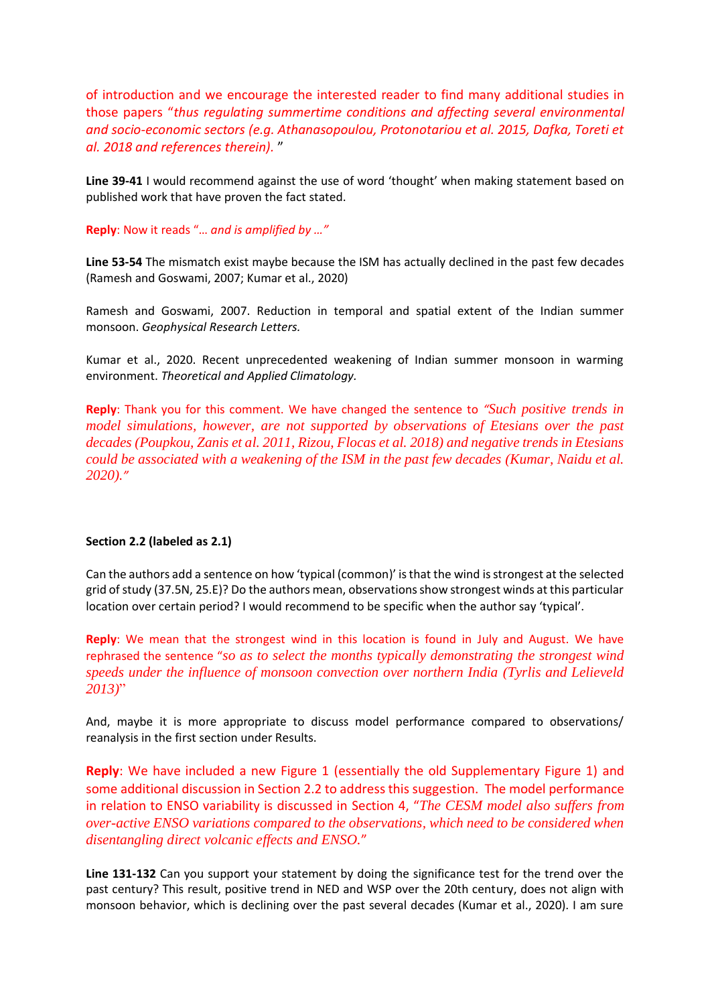of introduction and we encourage the interested reader to find many additional studies in those papers "*thus regulating summertime conditions and affecting several environmental and socio-economic sectors (e.g. Athanasopoulou, Protonotariou et al. 2015, Dafka, Toreti et al. 2018 and references therein).* "

Line 39-41 I would recommend against the use of word 'thought' when making statement based on published work that have proven the fact stated.

**Reply**: Now it reads "… *and is amplified by …"*

**Line 53-54** The mismatch exist maybe because the ISM has actually declined in the past few decades (Ramesh and Goswami, 2007; Kumar et al., 2020)

Ramesh and Goswami, 2007. Reduction in temporal and spatial extent of the Indian summer monsoon. *Geophysical Research Letters.* 

Kumar et al., 2020. Recent unprecedented weakening of Indian summer monsoon in warming environment. *Theoretical and Applied Climatology.* 

**Reply**: Thank you for this comment. We have changed the sentence to *"Such positive trends in model simulations, however, are not supported by observations of Etesians over the past decades (Poupkou, Zanis et al. 2011, Rizou, Flocas et al. 2018) and negative trends in Etesians could be associated with a weakening of the ISM in the past few decades (Kumar, Naidu et al. 2020)."*

### **Section 2.2 (labeled as 2.1)**

Can the authors add a sentence on how 'typical (common)' is that the wind is strongest at the selected grid of study (37.5N, 25.E)? Do the authors mean, observations show strongest winds at this particular location over certain period? I would recommend to be specific when the author say 'typical'.

**Reply**: We mean that the strongest wind in this location is found in July and August. We have rephrased the sentence "*so as to select the months typically demonstrating the strongest wind speeds under the influence of monsoon convection over northern India (Tyrlis and Lelieveld 2013)*"

And, maybe it is more appropriate to discuss model performance compared to observations/ reanalysis in the first section under Results.

**Reply**: We have included a new Figure 1 (essentially the old Supplementary Figure 1) and some additional discussion in Section 2.2 to address this suggestion. The model performance in relation to ENSO variability is discussed in Section 4, "*The CESM model also suffers from over-active ENSO variations compared to the observations, which need to be considered when disentangling direct volcanic effects and ENSO.*"

**Line 131-132** Can you support your statement by doing the significance test for the trend over the past century? This result, positive trend in NED and WSP over the 20th century, does not align with monsoon behavior, which is declining over the past several decades (Kumar et al., 2020). I am sure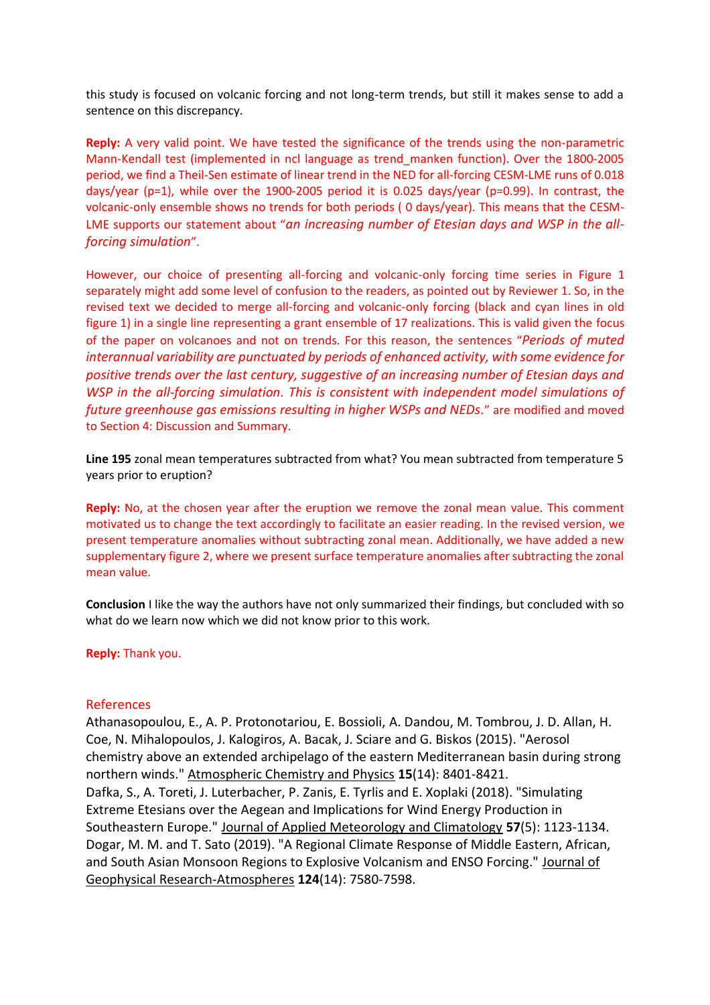this study is focused on volcanic forcing and not long-term trends, but still it makes sense to add a sentence on this discrepancy.

**Reply:** A very valid point. We have tested the significance of the trends using the non-parametric Mann-Kendall test (implemented in ncl language as trend\_manken function). Over the 1800-2005 period, we find a Theil-Sen estimate of linear trend in the NED for all-forcing CESM-LME runs of 0.018 days/year (p=1), while over the 1900-2005 period it is 0.025 days/year (p=0.99). In contrast, the volcanic-only ensemble shows no trends for both periods ( 0 days/year). This means that the CESM-LME supports our statement about "*an increasing number of Etesian days and WSP in the allforcing simulation*".

However, our choice of presenting all-forcing and volcanic-only forcing time series in Figure 1 separately might add some level of confusion to the readers, as pointed out by Reviewer 1. So, in the revised text we decided to merge all-forcing and volcanic-only forcing (black and cyan lines in old figure 1) in a single line representing a grant ensemble of 17 realizations. This is valid given the focus of the paper on volcanoes and not on trends. For this reason, the sentences "*Periods of muted interannual variability are punctuated by periods of enhanced activity, with some evidence for positive trends over the last century, suggestive of an increasing number of Etesian days and WSP in the all-forcing simulation. This is consistent with independent model simulations of future greenhouse gas emissions resulting in higher WSPs and NEDs.*" are modified and moved to Section 4: Discussion and Summary.

**Line 195** zonal mean temperatures subtracted from what? You mean subtracted from temperature 5 years prior to eruption?

**Reply:** No, at the chosen year after the eruption we remove the zonal mean value. This comment motivated us to change the text accordingly to facilitate an easier reading. In the revised version, we present temperature anomalies without subtracting zonal mean. Additionally, we have added a new supplementary figure 2, where we present surface temperature anomalies after subtracting the zonal mean value.

**Conclusion** I like the way the authors have not only summarized their findings, but concluded with so what do we learn now which we did not know prior to this work.

**Reply:** Thank you.

### References

Athanasopoulou, E., A. P. Protonotariou, E. Bossioli, A. Dandou, M. Tombrou, J. D. Allan, H. Coe, N. Mihalopoulos, J. Kalogiros, A. Bacak, J. Sciare and G. Biskos (2015). "Aerosol chemistry above an extended archipelago of the eastern Mediterranean basin during strong northern winds." Atmospheric Chemistry and Physics **15**(14): 8401-8421. Dafka, S., A. Toreti, J. Luterbacher, P. Zanis, E. Tyrlis and E. Xoplaki (2018). "Simulating Extreme Etesians over the Aegean and Implications for Wind Energy Production in Southeastern Europe." Journal of Applied Meteorology and Climatology **57**(5): 1123-1134. Dogar, M. M. and T. Sato (2019). "A Regional Climate Response of Middle Eastern, African, and South Asian Monsoon Regions to Explosive Volcanism and ENSO Forcing." Journal of Geophysical Research-Atmospheres **124**(14): 7580-7598.